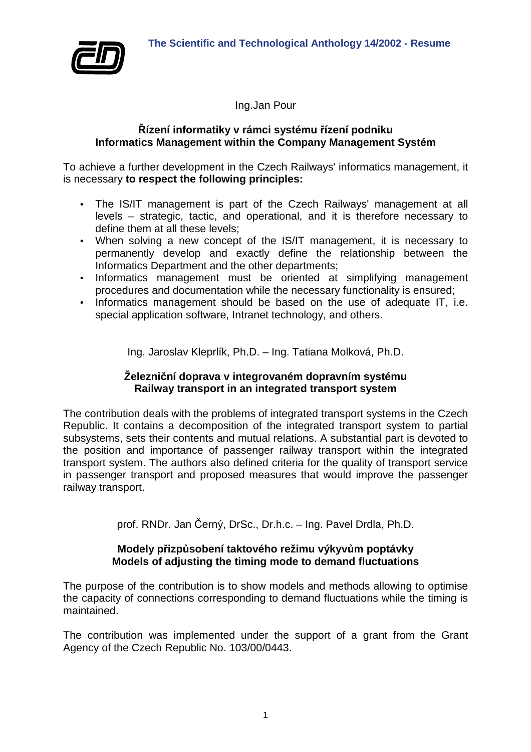

Ing.Jan Pour

#### **Řízení informatiky v rámci systému řízení podniku Informatics Management within the Company Management Systém**

To achieve a further development in the Czech Railways' informatics management, it is necessary **to respect the following principles:** 

- The IS/IT management is part of the Czech Railways' management at all levels – strategic, tactic, and operational, and it is therefore necessary to define them at all these levels;
- When solving a new concept of the IS/IT management, it is necessary to permanently develop and exactly define the relationship between the Informatics Department and the other departments;
- Informatics management must be oriented at simplifying management procedures and documentation while the necessary functionality is ensured;
- Informatics management should be based on the use of adequate IT, i.e. special application software, Intranet technology, and others.

Ing. Jaroslav Kleprlík, Ph.D. – Ing. Tatiana Molková, Ph.D.

# **Železniční doprava v integrovaném dopravním systému Railway transport in an integrated transport system**

The contribution deals with the problems of integrated transport systems in the Czech Republic. It contains a decomposition of the integrated transport system to partial subsystems, sets their contents and mutual relations. A substantial part is devoted to the position and importance of passenger railway transport within the integrated transport system. The authors also defined criteria for the quality of transport service in passenger transport and proposed measures that would improve the passenger railway transport.

prof. RNDr. Jan Černý, DrSc., Dr.h.c. – Ing. Pavel Drdla, Ph.D.

# **Modely přizpůsobení taktového režimu výkyvům poptávky Models of adjusting the timing mode to demand fluctuations**

The purpose of the contribution is to show models and methods allowing to optimise the capacity of connections corresponding to demand fluctuations while the timing is maintained.

The contribution was implemented under the support of a grant from the Grant Agency of the Czech Republic No. 103/00/0443.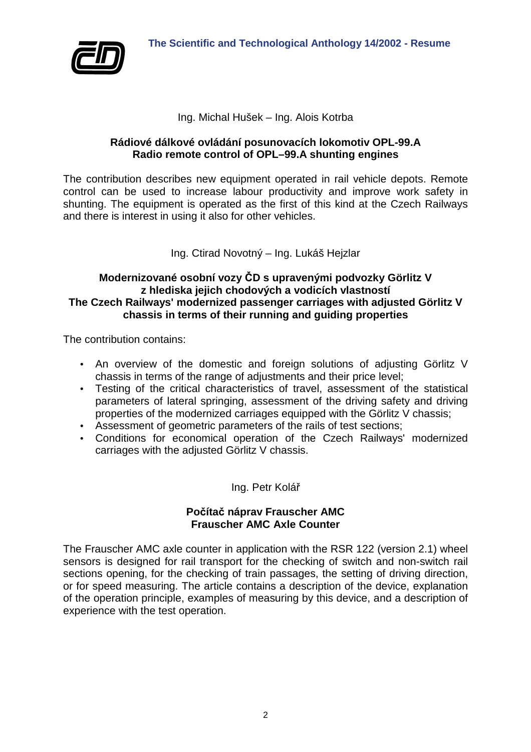

### Ing. Michal Hušek – Ing. Alois Kotrba

### **Rádiové dálkové ovládání posunovacích lokomotiv OPL-99.A Radio remote control of OPL–99.A shunting engines**

The contribution describes new equipment operated in rail vehicle depots. Remote control can be used to increase labour productivity and improve work safety in shunting. The equipment is operated as the first of this kind at the Czech Railways and there is interest in using it also for other vehicles.

Ing. Ctirad Novotný – Ing. Lukáš Hejzlar

### **Modernizované osobní vozy ČD s upravenými podvozky Görlitz V z hlediska jejich chodových a vodicích vlastností The Czech Railways' modernized passenger carriages with adjusted Görlitz V chassis in terms of their running and guiding properties**

The contribution contains:

- An overview of the domestic and foreign solutions of adjusting Görlitz V chassis in terms of the range of adjustments and their price level;
- Testing of the critical characteristics of travel, assessment of the statistical parameters of lateral springing, assessment of the driving safety and driving properties of the modernized carriages equipped with the Görlitz V chassis;
- Assessment of geometric parameters of the rails of test sections:
- Conditions for economical operation of the Czech Railways' modernized carriages with the adjusted Görlitz V chassis.

# Ing. Petr Kolář

# **Počítač náprav Frauscher AMC Frauscher AMC Axle Counter**

The Frauscher AMC axle counter in application with the RSR 122 (version 2.1) wheel sensors is designed for rail transport for the checking of switch and non-switch rail sections opening, for the checking of train passages, the setting of driving direction, or for speed measuring. The article contains a description of the device, explanation of the operation principle, examples of measuring by this device, and a description of experience with the test operation.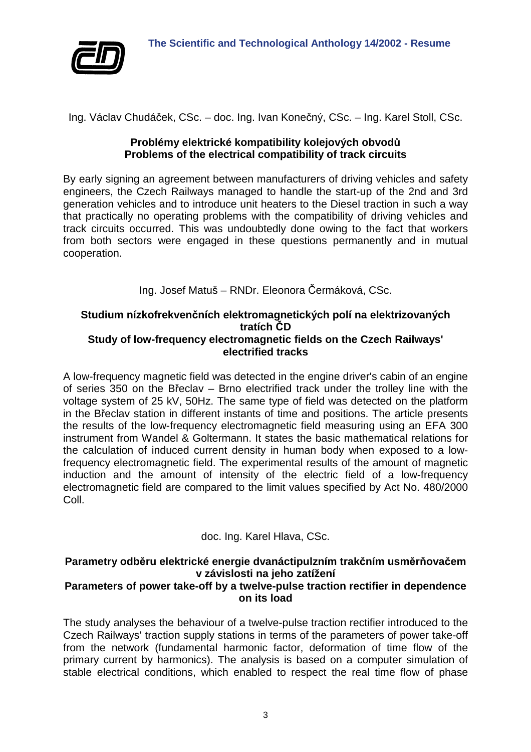

Ing. Václav Chudáček, CSc. – doc. Ing. Ivan Konečný, CSc. – Ing. Karel Stoll, CSc.

### **Problémy elektrické kompatibility kolejových obvodů Problems of the electrical compatibility of track circuits**

By early signing an agreement between manufacturers of driving vehicles and safety engineers, the Czech Railways managed to handle the start-up of the 2nd and 3rd generation vehicles and to introduce unit heaters to the Diesel traction in such a way that practically no operating problems with the compatibility of driving vehicles and track circuits occurred. This was undoubtedly done owing to the fact that workers from both sectors were engaged in these questions permanently and in mutual cooperation.

Ing. Josef Matuš – RNDr. Eleonora Čermáková, CSc.

#### **Studium nízkofrekvenčních elektromagnetických polí na elektrizovaných tratích ČD Study of low-frequency electromagnetic fields on the Czech Railways' electrified tracks**

A low-frequency magnetic field was detected in the engine driver's cabin of an engine of series 350 on the Břeclav – Brno electrified track under the trolley line with the voltage system of 25 kV, 50Hz. The same type of field was detected on the platform in the Břeclav station in different instants of time and positions. The article presents the results of the low-frequency electromagnetic field measuring using an EFA 300 instrument from Wandel & Goltermann. It states the basic mathematical relations for the calculation of induced current density in human body when exposed to a lowfrequency electromagnetic field. The experimental results of the amount of magnetic induction and the amount of intensity of the electric field of a low-frequency electromagnetic field are compared to the limit values specified by Act No. 480/2000 Coll.

# doc. Ing. Karel Hlava, CSc.

#### **Parametry odběru elektrické energie dvanáctipulzním trakčním usměrňovačem v závislosti na jeho zatížení Parameters of power take-off by a twelve-pulse traction rectifier in dependence on its load**

The study analyses the behaviour of a twelve-pulse traction rectifier introduced to the Czech Railways' traction supply stations in terms of the parameters of power take-off from the network (fundamental harmonic factor, deformation of time flow of the primary current by harmonics). The analysis is based on a computer simulation of stable electrical conditions, which enabled to respect the real time flow of phase